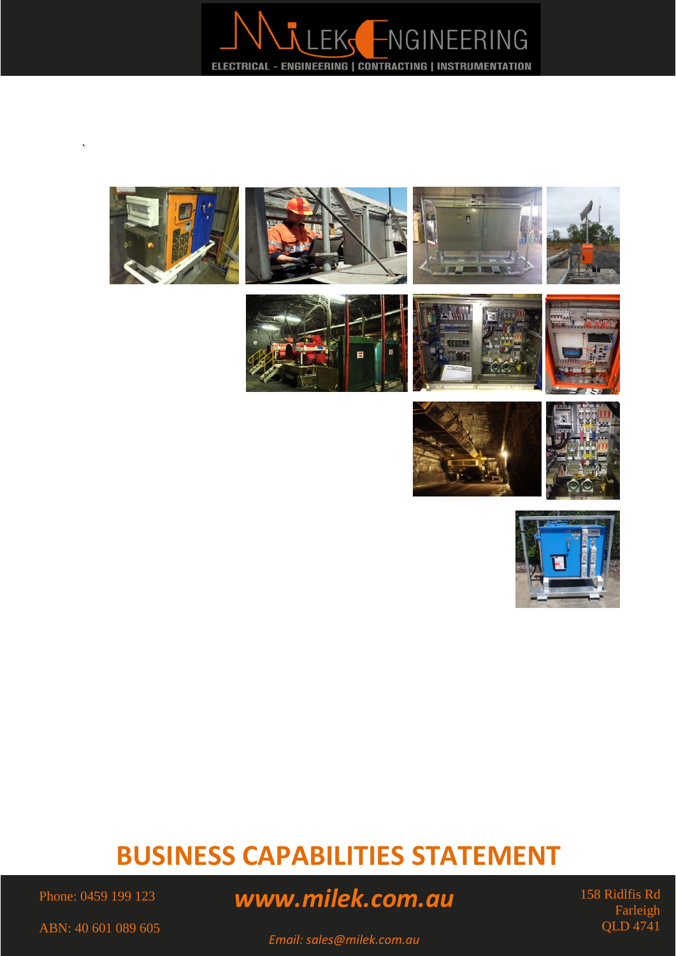







# **BUSINESS CAPABILITIES STATEMENT**

Phone: 0459 199 123

`

# *www.milek.com.au*

158 Ridlfis Rd Farleigh QLD 4741

*Email: sales@milek.com.au*

ABN: 40 601 089 605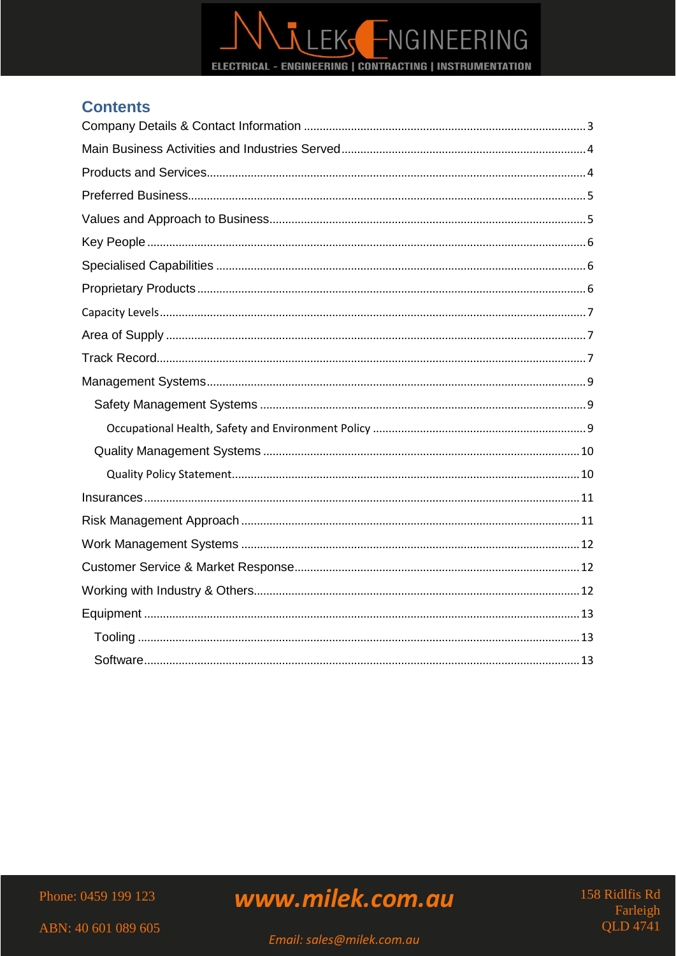

## **Contents**

Phone: 0459 199 123

www.milek.com.au

158 Ridlfis Rd Farleigh **OLD** 4741

ABN: 40 601 089 605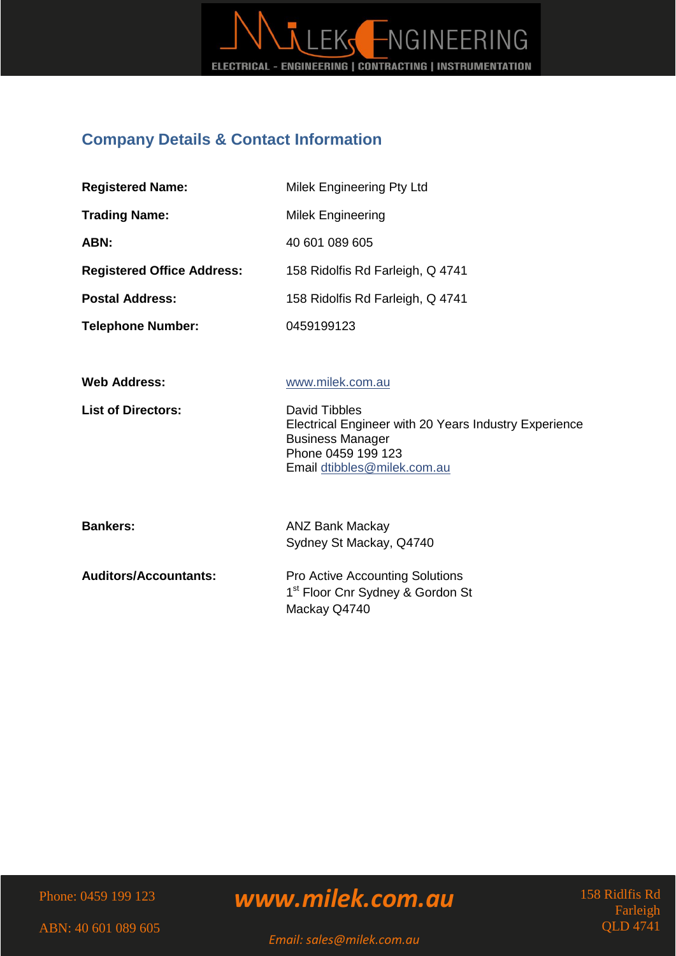

## <span id="page-2-0"></span>**Company Details & Contact Information**

| <b>Registered Name:</b>           | Milek Engineering Pty Ltd                                                                                                                              |
|-----------------------------------|--------------------------------------------------------------------------------------------------------------------------------------------------------|
| <b>Trading Name:</b>              | <b>Milek Engineering</b>                                                                                                                               |
| ABN:                              | 40 601 089 605                                                                                                                                         |
| <b>Registered Office Address:</b> | 158 Ridolfis Rd Farleigh, Q 4741                                                                                                                       |
| <b>Postal Address:</b>            | 158 Ridolfis Rd Farleigh, Q 4741                                                                                                                       |
| <b>Telephone Number:</b>          | 0459199123                                                                                                                                             |
| <b>Web Address:</b>               | www.milek.com.au                                                                                                                                       |
| <b>List of Directors:</b>         | David Tibbles<br>Electrical Engineer with 20 Years Industry Experience<br><b>Business Manager</b><br>Phone 0459 199 123<br>Email dtibbles@milek.com.au |
| <b>Bankers:</b>                   | <b>ANZ Bank Mackay</b><br>Sydney St Mackay, Q4740                                                                                                      |
| <b>Auditors/Accountants:</b>      | <b>Pro Active Accounting Solutions</b><br>1 <sup>st</sup> Floor Cnr Sydney & Gordon St<br>Mackay Q4740                                                 |

Phone: 0459 199 123

*www.milek.com.au*

158 Ridlfis Rd Farleigh QLD 4741

ABN: 40 601 089 605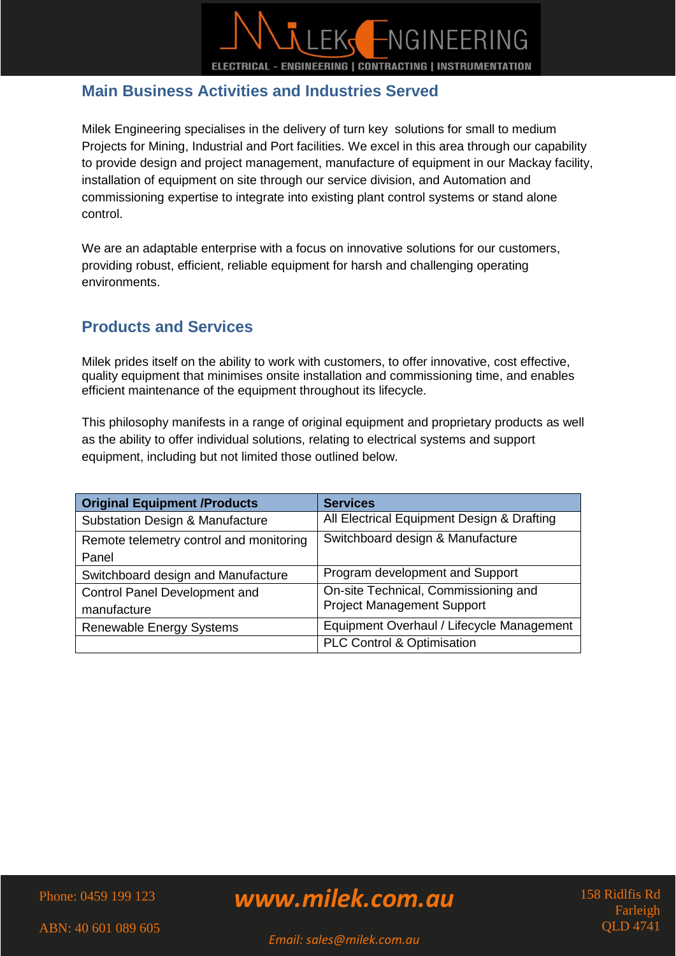

## <span id="page-3-0"></span>**Main Business Activities and Industries Served**

Milek Engineering specialises in the delivery of turn key solutions for small to medium Projects for Mining, Industrial and Port facilities. We excel in this area through our capability to provide design and project management, manufacture of equipment in our Mackay facility, installation of equipment on site through our service division, and Automation and commissioning expertise to integrate into existing plant control systems or stand alone control.

We are an adaptable enterprise with a focus on innovative solutions for our customers, providing robust, efficient, reliable equipment for harsh and challenging operating environments.

## <span id="page-3-1"></span>**Products and Services**

Milek prides itself on the ability to work with customers, to offer innovative, cost effective, quality equipment that minimises onsite installation and commissioning time, and enables efficient maintenance of the equipment throughout its lifecycle.

This philosophy manifests in a range of original equipment and proprietary products as well as the ability to offer individual solutions, relating to electrical systems and support equipment, including but not limited those outlined below.

| <b>Original Equipment /Products</b>        | <b>Services</b>                            |
|--------------------------------------------|--------------------------------------------|
| <b>Substation Design &amp; Manufacture</b> | All Electrical Equipment Design & Drafting |
| Remote telemetry control and monitoring    | Switchboard design & Manufacture           |
| Panel                                      |                                            |
| Switchboard design and Manufacture         | Program development and Support            |
| Control Panel Development and              | On-site Technical, Commissioning and       |
| manufacture                                | <b>Project Management Support</b>          |
| <b>Renewable Energy Systems</b>            | Equipment Overhaul / Lifecycle Management  |
|                                            | PLC Control & Optimisation                 |

Phone: 0459 199 123

*www.milek.com.au*

158 Ridlfis Rd Farleigh QLD 4741

ABN: 40 601 089 605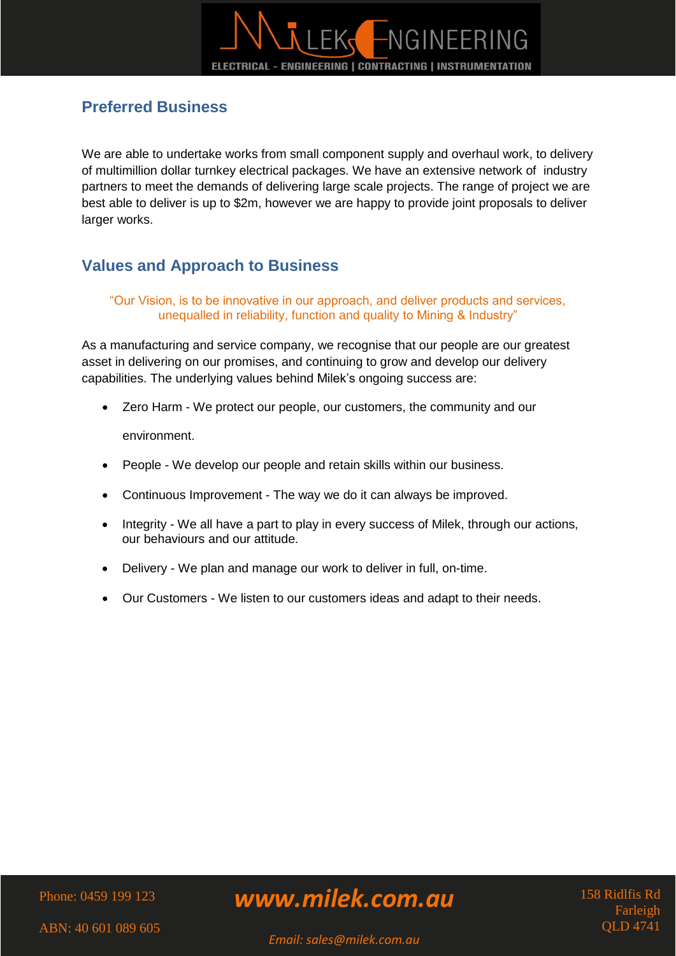## <span id="page-4-0"></span>**Preferred Business**

We are able to undertake works from small component supply and overhaul work, to delivery of multimillion dollar turnkey electrical packages. We have an extensive network of industry partners to meet the demands of delivering large scale projects. The range of project we are best able to deliver is up to \$2m, however we are happy to provide joint proposals to deliver larger works.

## <span id="page-4-1"></span>**Values and Approach to Business**

#### "Our Vision, is to be innovative in our approach, and deliver products and services, unequalled in reliability, function and quality to Mining & Industry"

As a manufacturing and service company, we recognise that our people are our greatest asset in delivering on our promises, and continuing to grow and develop our delivery capabilities. The underlying values behind Milek's ongoing success are:

Zero Harm - We protect our people, our customers, the community and our

environment.

- People We develop our people and retain skills within our business.
- Continuous Improvement The way we do it can always be improved.
- Integrity We all have a part to play in every success of Milek, through our actions, our behaviours and our attitude.
- Delivery We plan and manage our work to deliver in full, on-time.
- Our Customers We listen to our customers ideas and adapt to their needs.

Phone: 0459 199 123

*www.milek.com.au*

158 Ridlfis Rd Farleigh QLD 4741

ABN: 40 601 089 605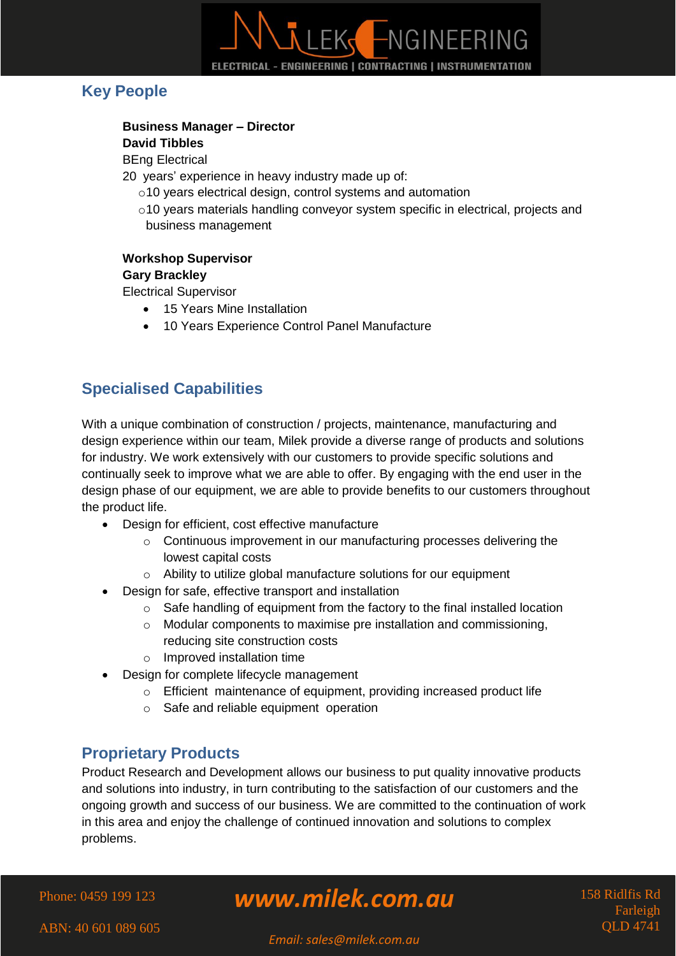# LEK FNGINEERING ELECTRICAL - ENGINEERING | CONTRACTING | INSTRUMENTATION

## <span id="page-5-0"></span>**Key People**

## **Business Manager – Director**

#### **David Tibbles**

BEng Electrical

20 years' experience in heavy industry made up of:

- o10 years electrical design, control systems and automation
- $\circ$ 10 years materials handling conveyor system specific in electrical, projects and business management

#### **Workshop Supervisor Gary Brackley**

Electrical Supervisor

- 15 Years Mine Installation
- 10 Years Experience Control Panel Manufacture

# <span id="page-5-1"></span>**Specialised Capabilities**

With a unique combination of construction / projects, maintenance, manufacturing and design experience within our team, Milek provide a diverse range of products and solutions for industry. We work extensively with our customers to provide specific solutions and continually seek to improve what we are able to offer. By engaging with the end user in the design phase of our equipment, we are able to provide benefits to our customers throughout the product life.

- Design for efficient, cost effective manufacture
	- o Continuous improvement in our manufacturing processes delivering the lowest capital costs
	- o Ability to utilize global manufacture solutions for our equipment
- Design for safe, effective transport and installation
	- $\circ$  Safe handling of equipment from the factory to the final installed location
	- o Modular components to maximise pre installation and commissioning, reducing site construction costs
	- o Improved installation time
- Design for complete lifecycle management
	- o Efficient maintenance of equipment, providing increased product life
	- o Safe and reliable equipment operation

## <span id="page-5-2"></span>**Proprietary Products**

Product Research and Development allows our business to put quality innovative products and solutions into industry, in turn contributing to the satisfaction of our customers and the ongoing growth and success of our business. We are committed to the continuation of work in this area and enjoy the challenge of continued innovation and solutions to complex problems.

Phone: 0459 199 123

# *www.milek.com.au*

158 Ridlfis Rd Farleigh QLD 4741

ABN: 40 601 089 605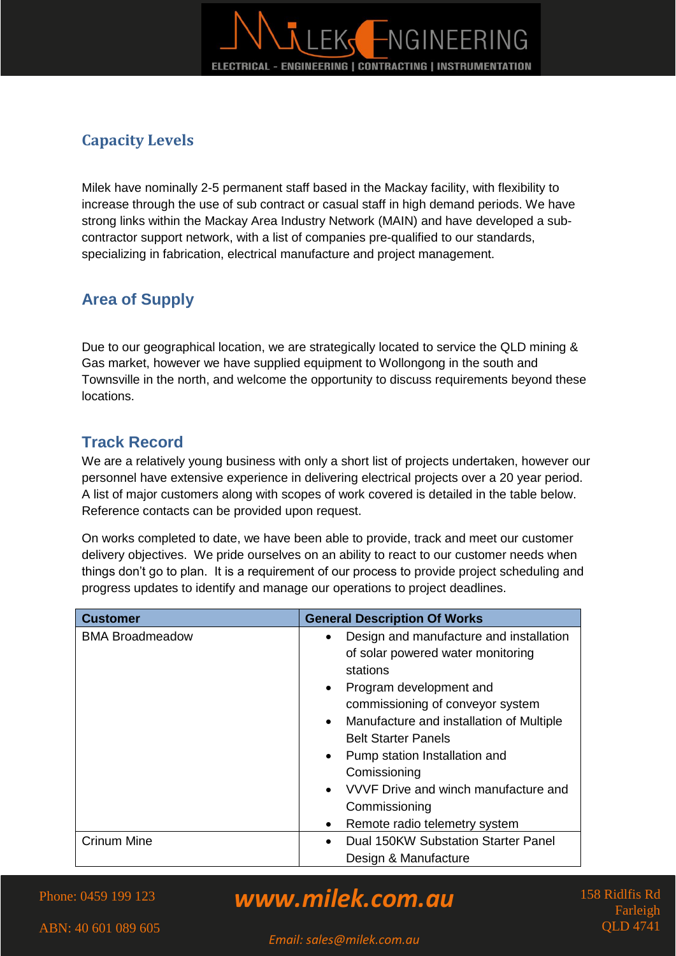

## <span id="page-6-0"></span>**Capacity Levels**

Milek have nominally 2-5 permanent staff based in the Mackay facility, with flexibility to increase through the use of sub contract or casual staff in high demand periods. We have strong links within the Mackay Area Industry Network (MAIN) and have developed a subcontractor support network, with a list of companies pre-qualified to our standards, specializing in fabrication, electrical manufacture and project management.

## <span id="page-6-1"></span>**Area of Supply**

Due to our geographical location, we are strategically located to service the QLD mining & Gas market, however we have supplied equipment to Wollongong in the south and Townsville in the north, and welcome the opportunity to discuss requirements beyond these locations.

## <span id="page-6-2"></span>**Track Record**

We are a relatively young business with only a short list of projects undertaken, however our personnel have extensive experience in delivering electrical projects over a 20 year period. A list of major customers along with scopes of work covered is detailed in the table below. Reference contacts can be provided upon request.

On works completed to date, we have been able to provide, track and meet our customer delivery objectives. We pride ourselves on an ability to react to our customer needs when things don't go to plan. It is a requirement of our process to provide project scheduling and progress updates to identify and manage our operations to project deadlines.

| <b>Customer</b>        | <b>General Description Of Works</b>                   |  |
|------------------------|-------------------------------------------------------|--|
| <b>BMA Broadmeadow</b> | Design and manufacture and installation<br>٠          |  |
|                        | of solar powered water monitoring                     |  |
|                        | stations                                              |  |
|                        | Program development and<br>$\bullet$                  |  |
|                        | commissioning of conveyor system                      |  |
|                        | Manufacture and installation of Multiple<br>$\bullet$ |  |
|                        | <b>Belt Starter Panels</b>                            |  |
|                        | Pump station Installation and<br>$\bullet$            |  |
|                        | Comissioning                                          |  |
|                        | VVVF Drive and winch manufacture and                  |  |
|                        | Commissioning                                         |  |
|                        | Remote radio telemetry system<br>$\bullet$            |  |
| <b>Crinum Mine</b>     | Dual 150KW Substation Starter Panel                   |  |
|                        | Design & Manufacture                                  |  |

*www.milek.com.au*

158 Ridlfis Rd Farleigh QLD 4741

ABN: 40 601 089 605

Phone: 0459 199 123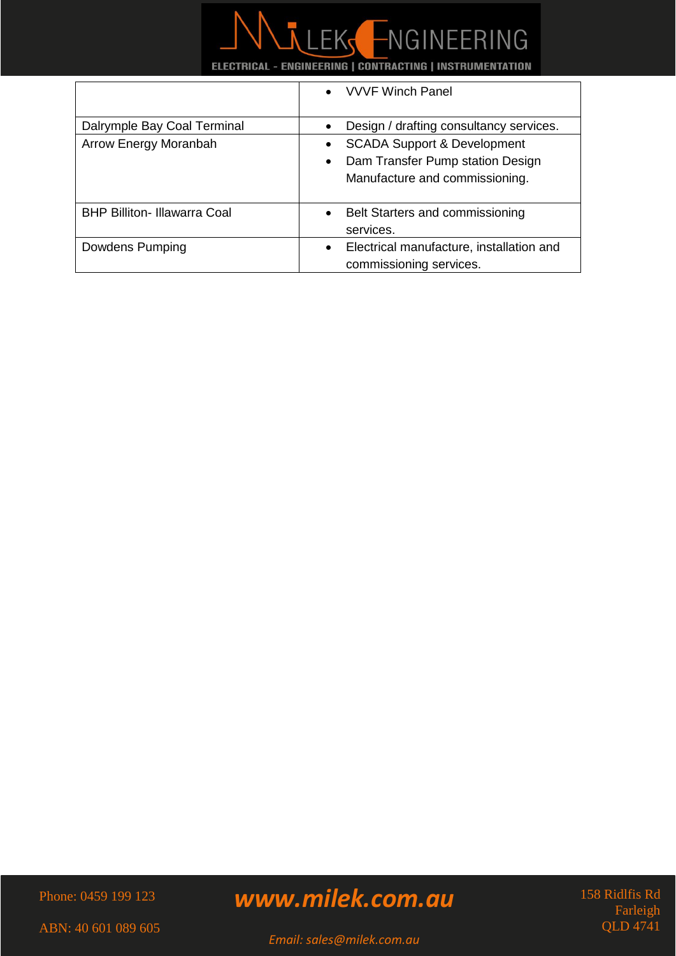

|                                     | • VVVF Winch Panel                                                                                                                     |
|-------------------------------------|----------------------------------------------------------------------------------------------------------------------------------------|
| Dalrymple Bay Coal Terminal         | Design / drafting consultancy services.                                                                                                |
| Arrow Energy Moranbah               | <b>SCADA Support &amp; Development</b><br>$\bullet$<br>Dam Transfer Pump station Design<br>$\bullet$<br>Manufacture and commissioning. |
| <b>BHP Billiton- Illawarra Coal</b> | Belt Starters and commissioning<br>$\bullet$<br>services.                                                                              |
| Dowdens Pumping                     | Electrical manufacture, installation and<br>$\bullet$<br>commissioning services.                                                       |

Phone: 0459 199 123

# *www.milek.com.au*

158 Ridlfis Rd Farleigh QLD 4741

ABN: 40 601 089 605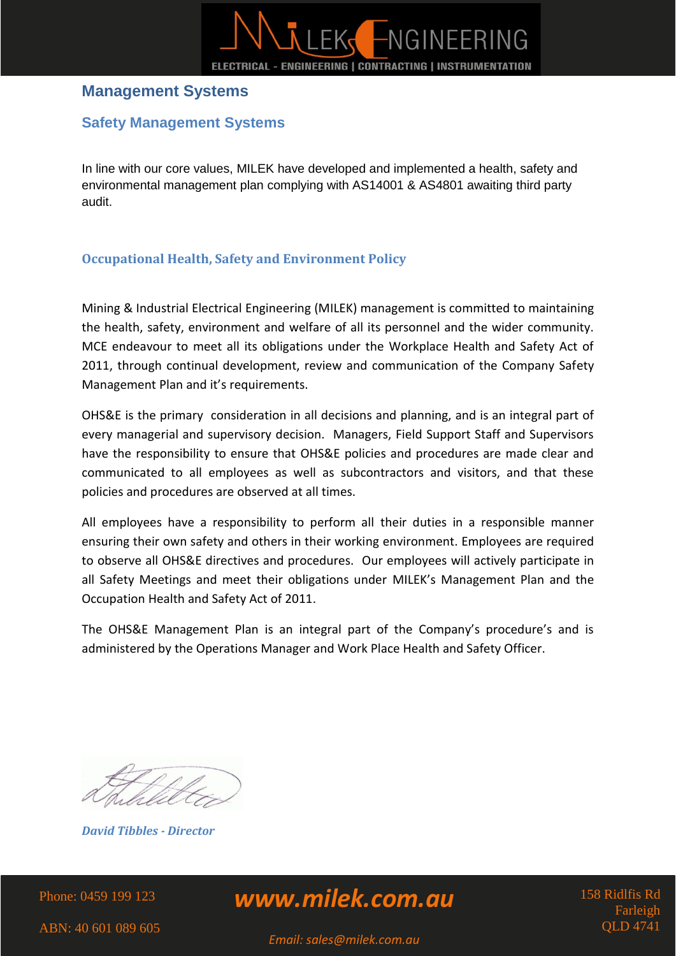

### <span id="page-8-0"></span>**Management Systems**

### <span id="page-8-1"></span>**Safety Management Systems**

In line with our core values, MILEK have developed and implemented a health, safety and environmental management plan complying with AS14001 & AS4801 awaiting third party audit.

#### <span id="page-8-2"></span>**Occupational Health, Safety and Environment Policy**

Mining & Industrial Electrical Engineering (MILEK) management is committed to maintaining the health, safety, environment and welfare of all its personnel and the wider community. MCE endeavour to meet all its obligations under the Workplace Health and Safety Act of 2011, through continual development, review and communication of the Company Safety Management Plan and it's requirements.

OHS&E is the primary consideration in all decisions and planning, and is an integral part of every managerial and supervisory decision. Managers, Field Support Staff and Supervisors have the responsibility to ensure that OHS&E policies and procedures are made clear and communicated to all employees as well as subcontractors and visitors, and that these policies and procedures are observed at all times.

All employees have a responsibility to perform all their duties in a responsible manner ensuring their own safety and others in their working environment. Employees are required to observe all OHS&E directives and procedures. Our employees will actively participate in all Safety Meetings and meet their obligations under MILEK's Management Plan and the Occupation Health and Safety Act of 2011.

The OHS&E Management Plan is an integral part of the Company's procedure's and is administered by the Operations Manager and Work Place Health and Safety Officer.

*David Tibbles - Director* 

Phone: 0459 199 123

*www.milek.com.au*

158 Ridlfis Rd Farleigh  $\cap$  D 4741

ABN: 40 601 089 605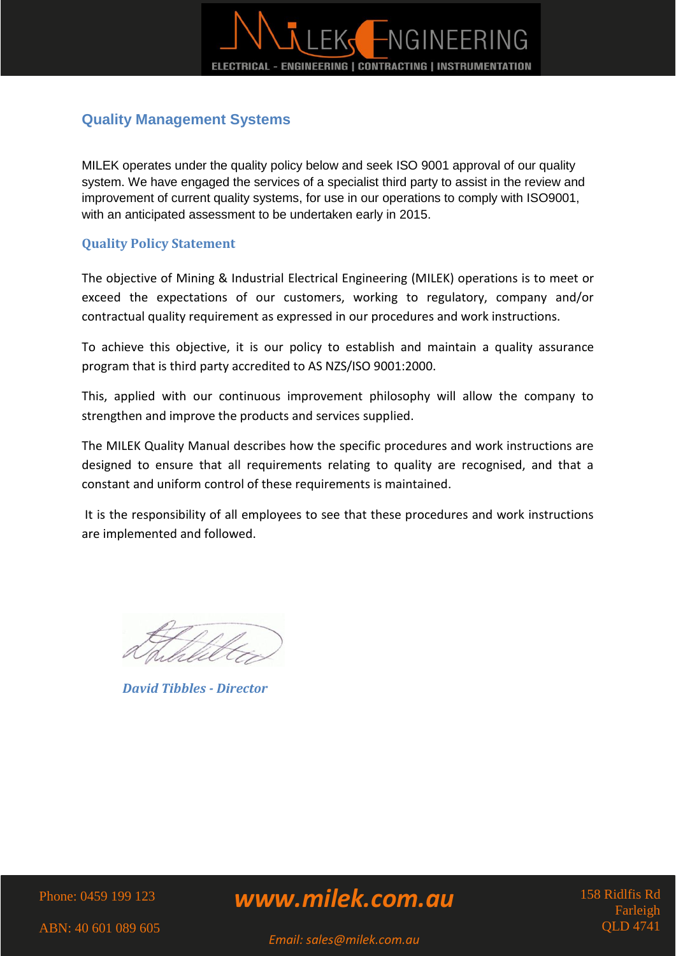

### <span id="page-9-0"></span>**Quality Management Systems**

MILEK operates under the quality policy below and seek ISO 9001 approval of our quality system. We have engaged the services of a specialist third party to assist in the review and improvement of current quality systems, for use in our operations to comply with ISO9001, with an anticipated assessment to be undertaken early in 2015.

#### <span id="page-9-1"></span>**Quality Policy Statement**

The objective of Mining & Industrial Electrical Engineering (MILEK) operations is to meet or exceed the expectations of our customers, working to regulatory, company and/or contractual quality requirement as expressed in our procedures and work instructions.

To achieve this objective, it is our policy to establish and maintain a quality assurance program that is third party accredited to AS NZS/ISO 9001:2000.

This, applied with our continuous improvement philosophy will allow the company to strengthen and improve the products and services supplied.

The MILEK Quality Manual describes how the specific procedures and work instructions are designed to ensure that all requirements relating to quality are recognised, and that a constant and uniform control of these requirements is maintained.

It is the responsibility of all employees to see that these procedures and work instructions are implemented and followed.

*David Tibbles - Director* 

Phone: 0459 199 123

*www.milek.com.au*

158 Ridlfis Rd **Farleigh** QLD 4741

ABN: 40 601 089 605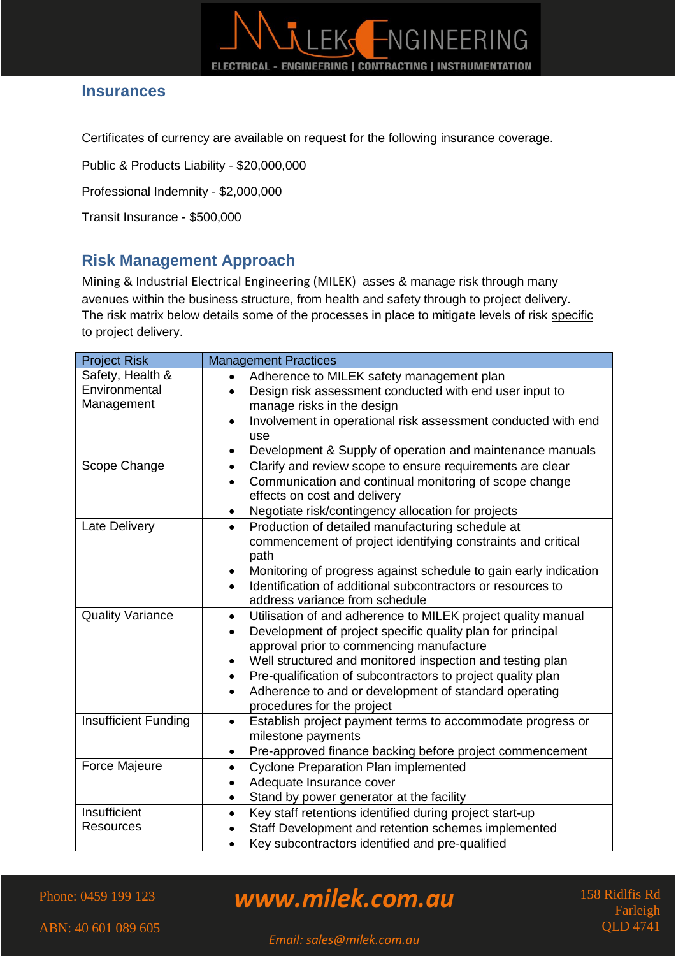### <span id="page-10-0"></span>**Insurances**

Certificates of currency are available on request for the following insurance coverage.

LEK,

ELECTRICAL - ENGINEERING | CONTRACTING | INSTRUMENTATION

-NGINEERING

Public & Products Liability - \$20,000,000

Professional Indemnity - \$2,000,000

Transit Insurance - \$500,000

### <span id="page-10-1"></span>**Risk Management Approach**

Mining & Industrial Electrical Engineering (MILEK) asses & manage risk through many avenues within the business structure, from health and safety through to project delivery. The risk matrix below details some of the processes in place to mitigate levels of risk specific to project delivery.

| <b>Project Risk</b>                             | <b>Management Practices</b>                                                                                                                                                                                                                                                                                                                                                                                                                   |  |
|-------------------------------------------------|-----------------------------------------------------------------------------------------------------------------------------------------------------------------------------------------------------------------------------------------------------------------------------------------------------------------------------------------------------------------------------------------------------------------------------------------------|--|
| Safety, Health &<br>Environmental<br>Management | Adherence to MILEK safety management plan<br>$\bullet$<br>Design risk assessment conducted with end user input to<br>$\bullet$<br>manage risks in the design<br>Involvement in operational risk assessment conducted with end<br>$\bullet$<br>use<br>Development & Supply of operation and maintenance manuals<br>$\bullet$                                                                                                                   |  |
| Scope Change                                    | Clarify and review scope to ensure requirements are clear<br>$\bullet$<br>Communication and continual monitoring of scope change<br>$\bullet$<br>effects on cost and delivery<br>Negotiate risk/contingency allocation for projects<br>$\bullet$                                                                                                                                                                                              |  |
| Late Delivery                                   | Production of detailed manufacturing schedule at<br>$\bullet$<br>commencement of project identifying constraints and critical<br>path<br>Monitoring of progress against schedule to gain early indication<br>$\bullet$<br>Identification of additional subcontractors or resources to<br>address variance from schedule                                                                                                                       |  |
| <b>Quality Variance</b>                         | Utilisation of and adherence to MILEK project quality manual<br>$\bullet$<br>Development of project specific quality plan for principal<br>$\bullet$<br>approval prior to commencing manufacture<br>Well structured and monitored inspection and testing plan<br>$\bullet$<br>Pre-qualification of subcontractors to project quality plan<br>$\bullet$<br>Adherence to and or development of standard operating<br>procedures for the project |  |
| <b>Insufficient Funding</b>                     | Establish project payment terms to accommodate progress or<br>$\bullet$<br>milestone payments<br>Pre-approved finance backing before project commencement<br>٠                                                                                                                                                                                                                                                                                |  |
| <b>Force Majeure</b>                            | <b>Cyclone Preparation Plan implemented</b><br>$\bullet$<br>Adequate Insurance cover<br>Stand by power generator at the facility<br>$\bullet$                                                                                                                                                                                                                                                                                                 |  |
| Insufficient<br><b>Resources</b>                | Key staff retentions identified during project start-up<br>$\bullet$<br>Staff Development and retention schemes implemented<br>Key subcontractors identified and pre-qualified                                                                                                                                                                                                                                                                |  |

Phone: 0459 199 123

*www.milek.com.au*

158 Ridlfis Rd Farleigh QLD 4741

ABN: 40 601 089 605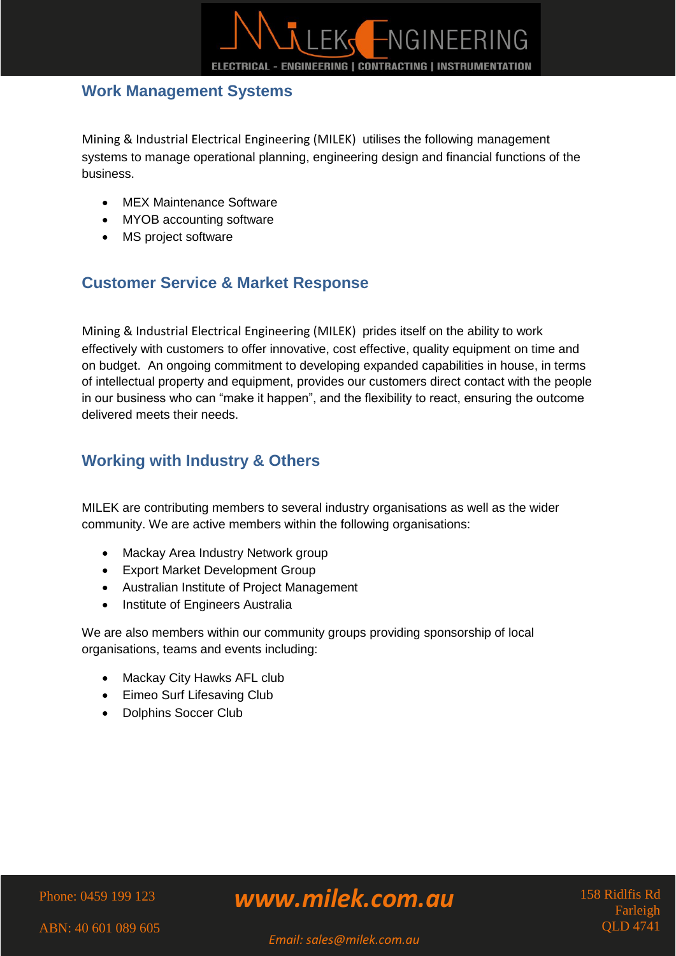

### <span id="page-11-0"></span>**Work Management Systems**

Mining & Industrial Electrical Engineering (MILEK) utilises the following management systems to manage operational planning, engineering design and financial functions of the business.

- MEX Maintenance Software
- MYOB accounting software
- MS project software

## <span id="page-11-1"></span>**Customer Service & Market Response**

Mining & Industrial Electrical Engineering (MILEK) prides itself on the ability to work effectively with customers to offer innovative, cost effective, quality equipment on time and on budget. An ongoing commitment to developing expanded capabilities in house, in terms of intellectual property and equipment, provides our customers direct contact with the people in our business who can "make it happen", and the flexibility to react, ensuring the outcome delivered meets their needs.

## <span id="page-11-2"></span>**Working with Industry & Others**

MILEK are contributing members to several industry organisations as well as the wider community. We are active members within the following organisations:

- Mackay Area Industry Network group
- Export Market Development Group
- Australian Institute of Project Management
- Institute of Engineers Australia

We are also members within our community groups providing sponsorship of local organisations, teams and events including:

- Mackay City Hawks AFL club
- Eimeo Surf Lifesaving Club
- Dolphins Soccer Club

#### Phone: 0459 199 123

# *www.milek.com.au*

158 Ridlfis Rd **Farleigh** QLD 4741

ABN: 40 601 089 605